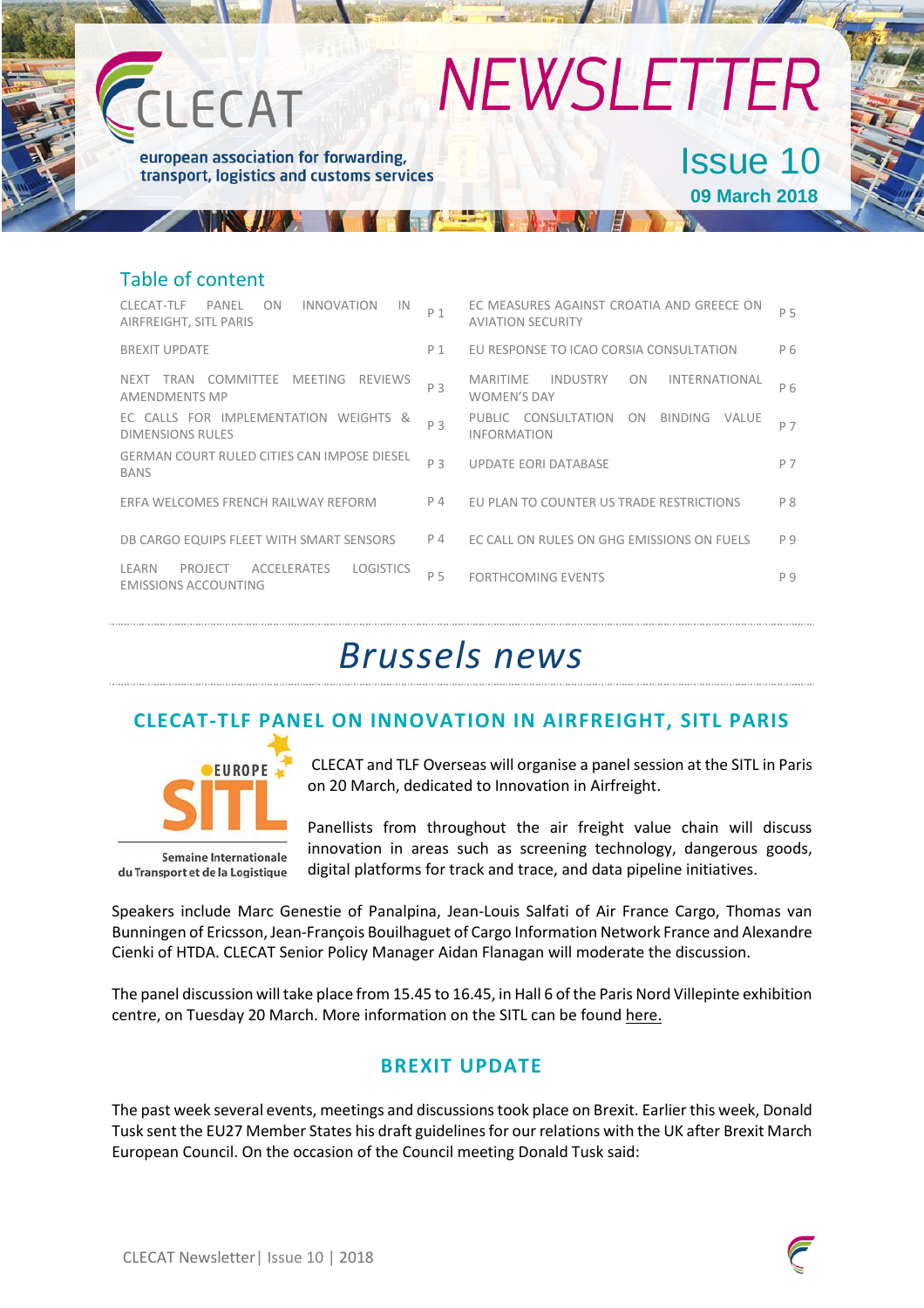| CLECAT                                                                                    | <b>NEWSLETTER</b> |                                                                                        |     |
|-------------------------------------------------------------------------------------------|-------------------|----------------------------------------------------------------------------------------|-----|
| european association for forwarding,<br>transport, logistics and customs services         |                   | <b>Issue 10</b><br><b>09 March 2018</b>                                                |     |
| <b>Table of content</b>                                                                   |                   |                                                                                        |     |
| CLECAT-TLE<br>PANFI<br>ON<br><b>INNOVATION</b><br>IN<br>AIRFREIGHT, SITL PARIS            | P 1               | EC MEASURES AGAINST CROATIA AND GREECE ON<br><b>AVIATION SECURITY</b>                  | P 5 |
| <b>BREXIT UPDATE</b>                                                                      | $P_1$             | EU RESPONSE TO ICAO CORSIA CONSULTATION                                                | P 6 |
| NEXT TRAN COMMITTEE MEETING REVIEWS<br><b>AMENDMENTS MP</b>                               | P 3               | <b>MARITIME</b><br><b>INDUSTRY</b><br><b>INTERNATIONAL</b><br>0N<br><b>WOMEN'S DAY</b> | P 6 |
| EC CALLS FOR IMPLEMENTATION WEIGHTS &<br><b>DIMENSIONS RULES</b>                          | P <sub>3</sub>    | PUBLIC CONSULTATION<br>BINDING VALUE<br>ON<br><b>INFORMATION</b>                       | P 7 |
| <b>GERMAN COURT RULED CITIES CAN IMPOSE DIESEL</b><br><b>BANS</b>                         | P <sub>3</sub>    | <b>UPDATE EORI DATABASE</b>                                                            | P 7 |
| ERFA WELCOMES FRENCH RAILWAY REFORM                                                       | P 4               | EU PLAN TO COUNTER US TRADE RESTRICTIONS                                               | P 8 |
| DB CARGO EQUIPS FLEET WITH SMART SENSORS                                                  | P 4               | EC CALL ON RULES ON GHG EMISSIONS ON FUELS                                             | P 9 |
| LEARN<br><b>ACCELERATES</b><br>PROJECT<br><b>LOGISTICS</b><br><b>EMISSIONS ACCOUNTING</b> | P 5               | <b>FORTHCOMING EVENTS</b>                                                              | P 9 |

## *Brussels news*

### **CLECAT-TLF PANEL ON INNOVATION IN AIRFREIGHT, SITL PARIS**



**Semaine Internationale** du Transport et de la Logistique

CLECAT and TLF Overseas will organise a panel session at the SITL in Paris on 20 March, dedicated to Innovation in Airfreight.

Panellists from throughout the air freight value chain will discuss innovation in areas such as screening technology, dangerous goods, digital platforms for track and trace, and data pipeline initiatives.

Speakers include Marc Genestie of Panalpina, Jean-Louis Salfati of Air France Cargo, Thomas van Bunningen of Ericsson, Jean-François Bouilhaguet of Cargo Information Network France and Alexandre Cienki of HTDA. CLECAT Senior Policy Manager Aidan Flanagan will moderate the discussion.

The panel discussion will take place from 15.45 to 16.45, in Hall 6 of the Paris Nord Villepinte exhibition centre, on Tuesday 20 March. More information on the SITL can be found here.

#### **BREXIT UPDATE**

The past week several events, meetings and discussions took place on Brexit. Earlier this week, Donald Tusk sent the EU27 Member States his draft guidelines for our relations with the UK after Brexit March European Council. On the occasion of the Council meeting Donald Tusk said: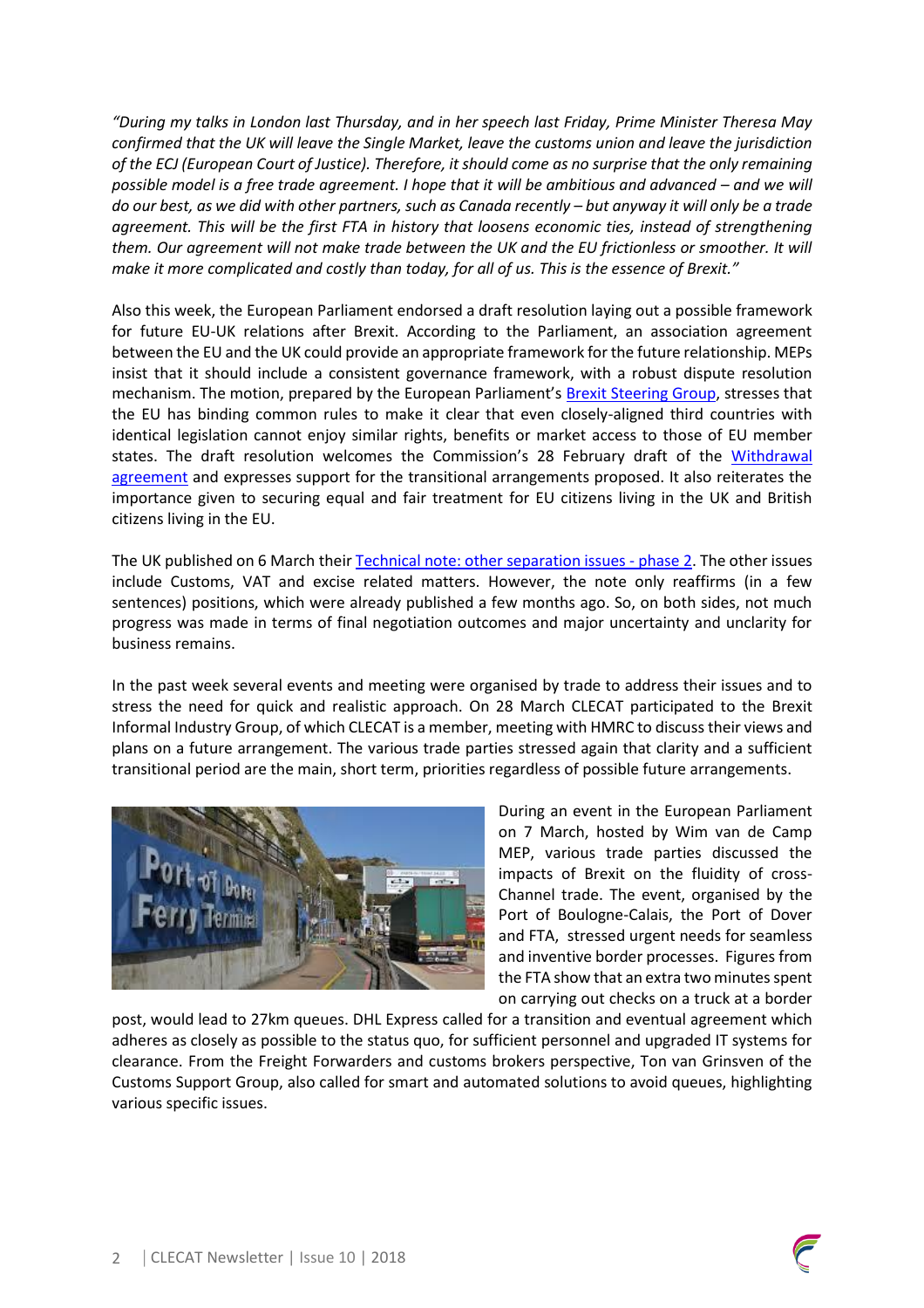*"During my talks in London last Thursday, and in her speech last Friday, Prime Minister Theresa May confirmed that the UK will leave the Single Market, leave the customs union and leave the jurisdiction of the ECJ (European Court of Justice). Therefore, it should come as no surprise that the only remaining possible model is a free trade agreement. I hope that it will be ambitious and advanced – and we will do our best, as we did with other partners, such as Canada recently – but anyway it will only be a trade agreement. This will be the first FTA in history that loosens economic ties, instead of strengthening them. Our agreement will not make trade between the UK and the EU frictionless or smoother. It will make it more complicated and costly than today, for all of us. This is the essence of Brexit."*

Also this week, the European Parliament endorsed a draft resolution laying out a possible framework for future EU-UK relations after Brexit. According to the Parliament, an association agreement between the EU and the UK could provide an appropriate framework for the future relationship. MEPs insist that it should include a consistent governance framework, with a robust dispute resolution mechanism. The motion, prepared by the European Parliament's Brexit Steering Group, stresses that the EU has binding common rules to make it clear that even closely-aligned third countries with identical legislation cannot enjoy similar rights, benefits or market access to those of EU member states. The draft resolution welcomes the Commission's 28 February draft of the Withdrawal agreement and expresses support for the transitional arrangements proposed. It also reiterates the importance given to securing equal and fair treatment for EU citizens living in the UK and British citizens living in the EU.

The UK published on 6 March their Technical note: other separation issues - phase 2. The other issues include Customs, VAT and excise related matters. However, the note only reaffirms (in a few sentences) positions, which were already published a few months ago. So, on both sides, not much progress was made in terms of final negotiation outcomes and major uncertainty and unclarity for business remains.

In the past week several events and meeting were organised by trade to address their issues and to stress the need for quick and realistic approach. On 28 March CLECAT participated to the Brexit Informal Industry Group, of which CLECAT is a member, meeting with HMRC to discuss their views and plans on a future arrangement. The various trade parties stressed again that clarity and a sufficient transitional period are the main, short term, priorities regardless of possible future arrangements.



During an event in the European Parliament on 7 March, hosted by Wim van de Camp MEP, various trade parties discussed the impacts of Brexit on the fluidity of cross-Channel trade. The event, organised by the Port of Boulogne-Calais, the Port of Dover and FTA, stressed urgent needs for seamless and inventive border processes. Figures from the FTA show that an extra two minutes spent on carrying out checks on a truck at a border

post, would lead to 27km queues. DHL Express called for a transition and eventual agreement which adheres as closely as possible to the status quo, for sufficient personnel and upgraded IT systems for clearance. From the Freight Forwarders and customs brokers perspective, Ton van Grinsven of the Customs Support Group, also called for smart and automated solutions to avoid queues, highlighting various specific issues.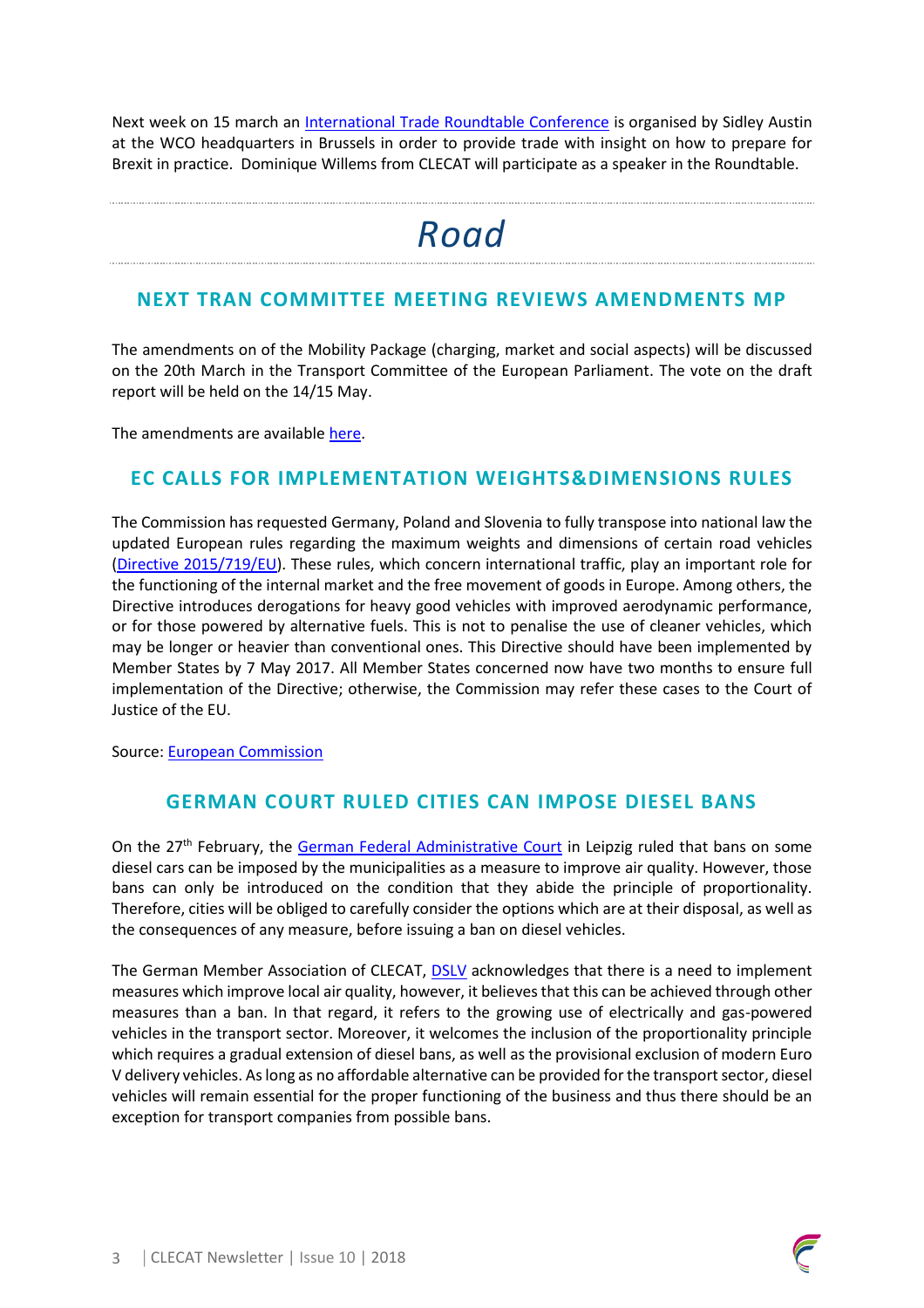Next week on 15 march an International Trade Roundtable Conference is organised by Sidley Austin at the WCO headquarters in Brussels in order to provide trade with insight on how to prepare for Brexit in practice. Dominique Willems from CLECAT will participate as a speaker in the Roundtable.

## *Road*

#### **NEXT TRAN COMMITTEE MEETING REVIEWS AMENDMENTS MP**

The amendments on of the Mobility Package (charging, market and social aspects) will be discussed on the 20th March in the Transport Committee of the European Parliament. The vote on the draft report will be held on the 14/15 May.

The amendments are available here.

#### **EC CALLS FOR IMPLEMENTATION WEIGHTS&DIMENSIONS RULES**

The Commission hasrequested Germany, Poland and Slovenia to fully transpose into national law the updated European rules regarding the maximum weights and dimensions of certain road vehicles (Directive 2015/719/EU). These rules, which concern international traffic, play an important role for the functioning of the internal market and the free movement of goods in Europe. Among others, the Directive introduces derogations for heavy good vehicles with improved aerodynamic performance, or for those powered by alternative fuels. This is not to penalise the use of cleaner vehicles, which may be longer or heavier than conventional ones. This Directive should have been implemented by Member States by 7 May 2017. All Member States concerned now have two months to ensure full implementation of the Directive; otherwise, the Commission may refer these cases to the Court of Justice of the EU.

Source: European Commission

#### **GERMAN COURT RULED CITIES CAN IMPOSE DIESEL BANS**

On the 27<sup>th</sup> February, the German Federal Administrative Court in Leipzig ruled that bans on some diesel cars can be imposed by the municipalities as a measure to improve air quality. However, those bans can only be introduced on the condition that they abide the principle of proportionality. Therefore, cities will be obliged to carefully consider the options which are at their disposal, as well as the consequences of any measure, before issuing a ban on diesel vehicles.

The German Member Association of CLECAT, DSLV acknowledges that there is a need to implement measures which improve local air quality, however, it believes that this can be achieved through other measures than a ban. In that regard, it refers to the growing use of electrically and gas-powered vehicles in the transport sector. Moreover, it welcomes the inclusion of the proportionality principle which requires a gradual extension of diesel bans, as well as the provisional exclusion of modern Euro V delivery vehicles. As long as no affordable alternative can be provided for the transport sector, diesel vehicles will remain essential for the proper functioning of the business and thus there should be an exception for transport companies from possible bans.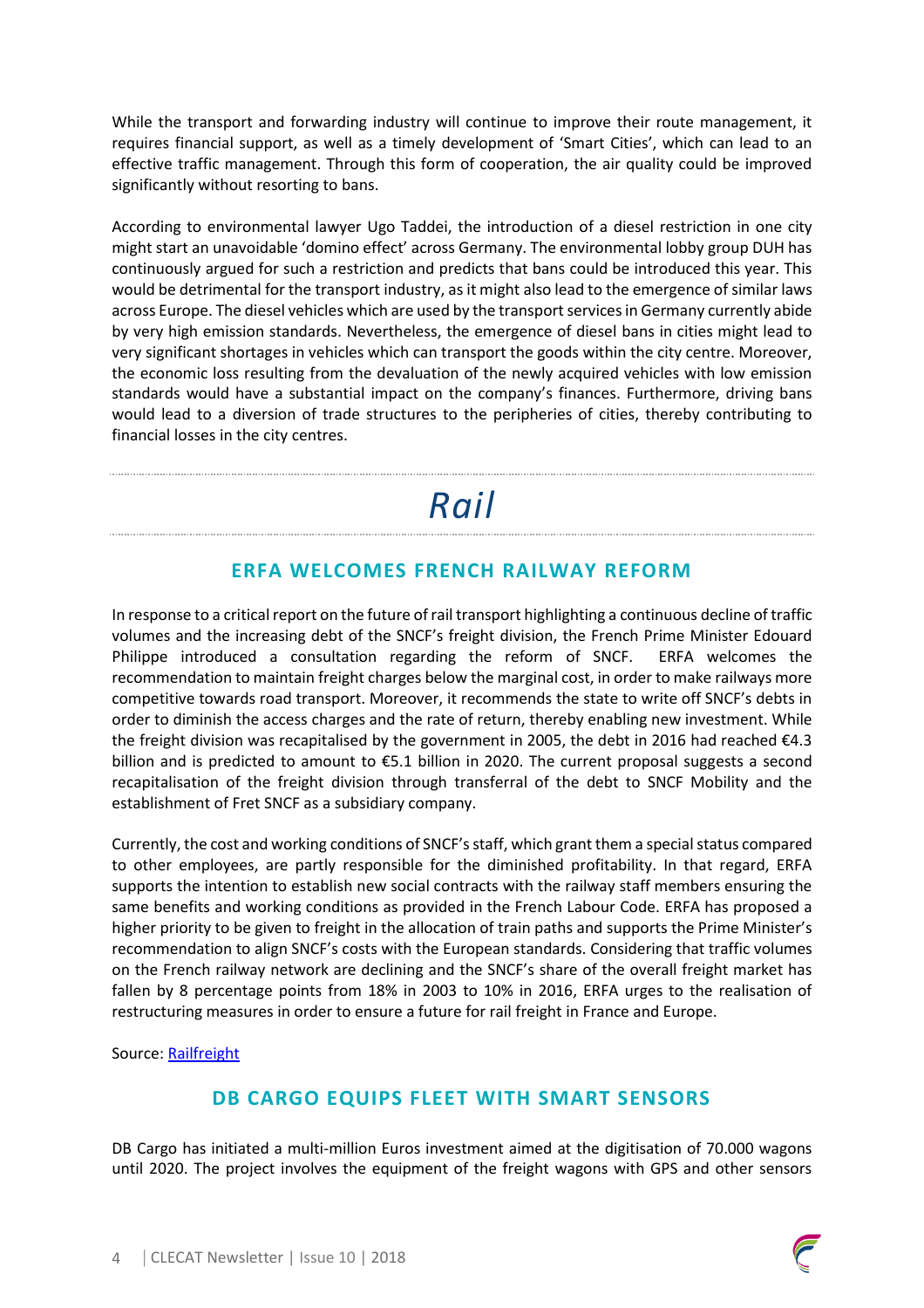While the transport and forwarding industry will continue to improve their route management, it requires financial support, as well as a timely development of 'Smart Cities', which can lead to an effective traffic management. Through this form of cooperation, the air quality could be improved significantly without resorting to bans.

According to environmental lawyer Ugo Taddei, the introduction of a diesel restriction in one city might start an unavoidable 'domino effect' across Germany. The environmental lobby group DUH has continuously argued for such a restriction and predicts that bans could be introduced this year. This would be detrimental for the transport industry, as it might also lead to the emergence of similar laws across Europe. The diesel vehicles which are used by the transport services in Germany currently abide by very high emission standards. Nevertheless, the emergence of diesel bans in cities might lead to very significant shortages in vehicles which can transport the goods within the city centre. Moreover, the economic loss resulting from the devaluation of the newly acquired vehicles with low emission standards would have a substantial impact on the company's finances. Furthermore, driving bans would lead to a diversion of trade structures to the peripheries of cities, thereby contributing to financial losses in the city centres.

*Rail*

#### **ERFA WELCOMES FRENCH RAILWAY REFORM**

In response to a critical report on the future of rail transport highlighting a continuous decline of traffic volumes and the increasing debt of the SNCF's freight division, the French Prime Minister Edouard Philippe introduced a consultation regarding the reform of SNCF. ERFA welcomes the recommendation to maintain freight charges below the marginal cost, in order to make railways more competitive towards road transport. Moreover, it recommends the state to write off SNCF's debts in order to diminish the access charges and the rate of return, thereby enabling new investment. While the freight division was recapitalised by the government in 2005, the debt in 2016 had reached €4.3 billion and is predicted to amount to €5.1 billion in 2020. The current proposal suggests a second recapitalisation of the freight division through transferral of the debt to SNCF Mobility and the establishment of Fret SNCF as a subsidiary company.

Currently, the cost and working conditions of SNCF's staff, which grant them a special status compared to other employees, are partly responsible for the diminished profitability. In that regard, ERFA supports the intention to establish new social contracts with the railway staff members ensuring the same benefits and working conditions as provided in the French Labour Code. ERFA has proposed a higher priority to be given to freight in the allocation of train paths and supports the Prime Minister's recommendation to align SNCF's costs with the European standards. Considering that traffic volumes on the French railway network are declining and the SNCF's share of the overall freight market has fallen by 8 percentage points from 18% in 2003 to 10% in 2016, ERFA urges to the realisation of restructuring measures in order to ensure a future for rail freight in France and Europe.

Source: Railfreight

#### **DB CARGO EQUIPS FLEET WITH SMART SENSORS**

DB Cargo has initiated a multi-million Euros investment aimed at the digitisation of 70.000 wagons until 2020. The project involves the equipment of the freight wagons with GPS and other sensors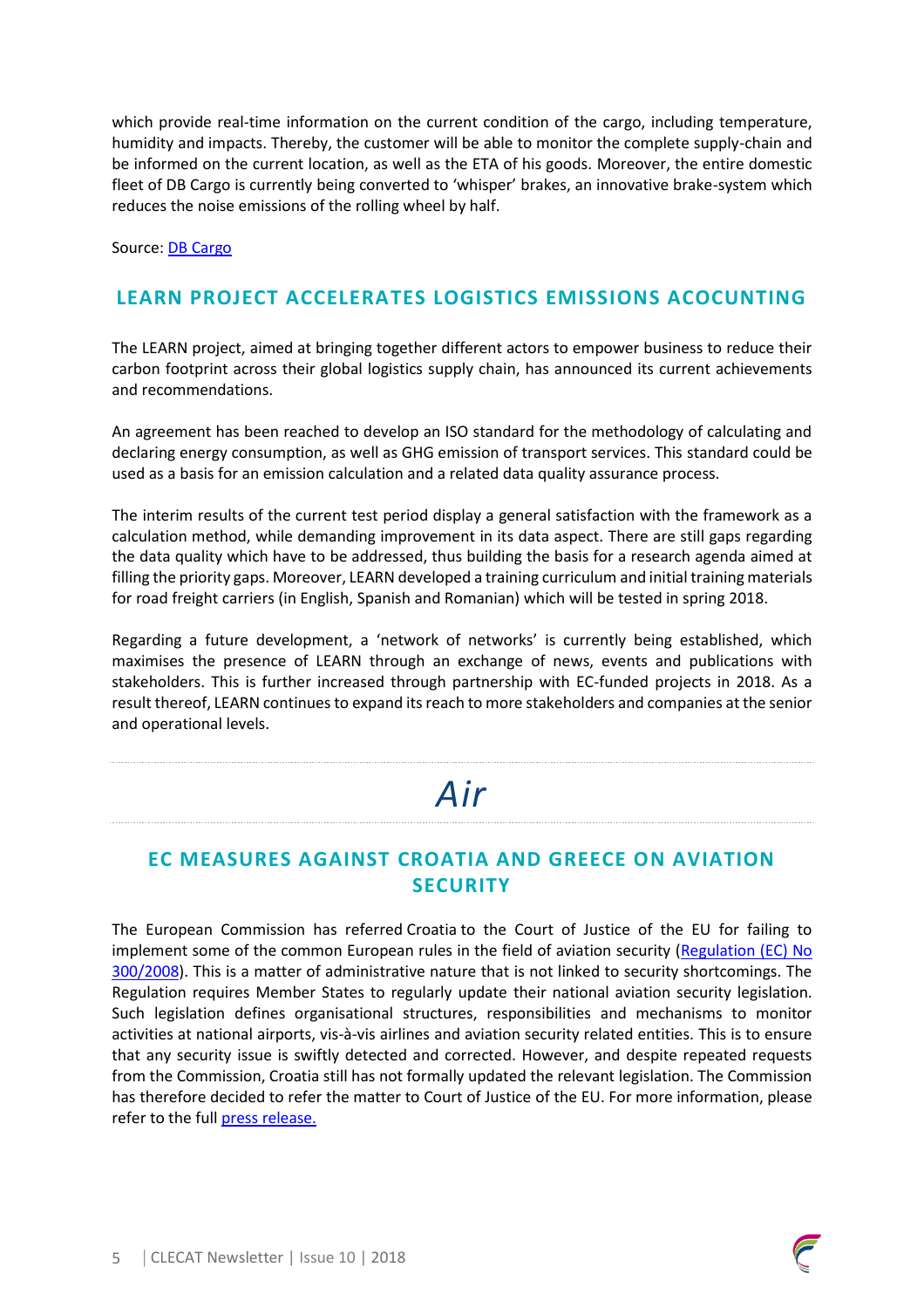which provide real-time information on the current condition of the cargo, including temperature, humidity and impacts. Thereby, the customer will be able to monitor the complete supply-chain and be informed on the current location, as well as the ETA of his goods. Moreover, the entire domestic fleet of DB Cargo is currently being converted to 'whisper' brakes, an innovative brake-system which reduces the noise emissions of the rolling wheel by half.

Source: DB Cargo

#### **LEARN PROJECT ACCELERATES LOGISTICS EMISSIONS ACOCUNTING**

The LEARN project, aimed at bringing together different actors to empower business to reduce their carbon footprint across their global logistics supply chain, has announced its current achievements and recommendations.

An agreement has been reached to develop an ISO standard for the methodology of calculating and declaring energy consumption, as well as GHG emission of transport services. This standard could be used as a basis for an emission calculation and a related data quality assurance process.

The interim results of the current test period display a general satisfaction with the framework as a calculation method, while demanding improvement in its data aspect. There are still gaps regarding the data quality which have to be addressed, thus building the basis for a research agenda aimed at filling the priority gaps. Moreover, LEARN developed a training curriculum and initial training materials for road freight carriers (in English, Spanish and Romanian) which will be tested in spring 2018.

Regarding a future development, a 'network of networks' is currently being established, which maximises the presence of LEARN through an exchange of news, events and publications with stakeholders. This is further increased through partnership with EC-funded projects in 2018. As a result thereof, LEARN continues to expand its reach to more stakeholders and companies at the senior and operational levels.

# *Air*

#### **EC MEASURES AGAINST CROATIA AND GREECE ON AVIATION SECURITY**

The European Commission has referred Croatia to the Court of Justice of the EU for failing to implement some of the common European rules in the field of aviation security (Regulation (EC) No 300/2008). This is a matter of administrative nature that is not linked to security shortcomings. The Regulation requires Member States to regularly update their national aviation security legislation. Such legislation defines organisational structures, responsibilities and mechanisms to monitor activities at national airports, vis-à-vis airlines and aviation security related entities. This is to ensure that any security issue is swiftly detected and corrected. However, and despite repeated requests from the Commission, Croatia still has not formally updated the relevant legislation. The Commission has therefore decided to refer the matter to Court of Justice of the EU. For more information, please refer to the full press release.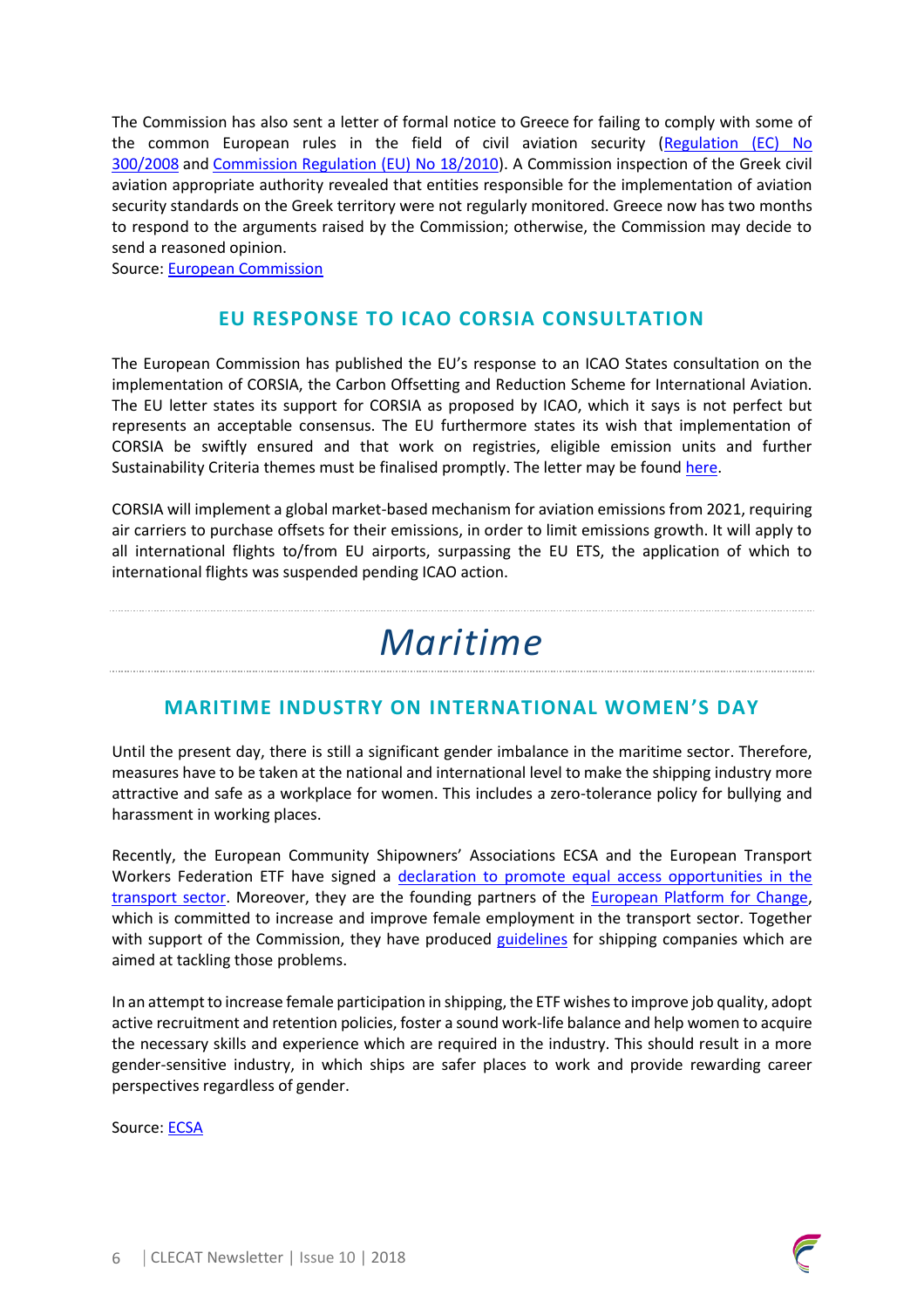The Commission has also sent a letter of formal notice to Greece for failing to comply with some of the common European rules in the field of civil aviation security (Regulation (EC) No 300/2008 and Commission Regulation (EU) No 18/2010). A Commission inspection of the Greek civil aviation appropriate authority revealed that entities responsible for the implementation of aviation security standards on the Greek territory were not regularly monitored. Greece now has two months to respond to the arguments raised by the Commission; otherwise, the Commission may decide to send a reasoned opinion.

Source: European Commission

#### **EU RESPONSE TO ICAO CORSIA CONSULTATION**

The European Commission has published the EU's response to an ICAO States consultation on the implementation of CORSIA, the Carbon Offsetting and Reduction Scheme for International Aviation. The EU letter states its support for CORSIA as proposed by ICAO, which it says is not perfect but represents an acceptable consensus. The EU furthermore states its wish that implementation of CORSIA be swiftly ensured and that work on registries, eligible emission units and further Sustainability Criteria themes must be finalised promptly. The letter may be found here.

CORSIA will implement a global market-based mechanism for aviation emissions from 2021, requiring air carriers to purchase offsets for their emissions, in order to limit emissions growth. It will apply to all international flights to/from EU airports, surpassing the EU ETS, the application of which to international flights was suspended pending ICAO action.

## *Maritime*

#### **MARITIME INDUSTRY ON INTERNATIONAL WOMEN'S DAY**

Until the present day, there is still a significant gender imbalance in the maritime sector. Therefore, measures have to be taken at the national and international level to make the shipping industry more attractive and safe as a workplace for women. This includes a zero-tolerance policy for bullying and harassment in working places.

Recently, the European Community Shipowners' Associations ECSA and the European Transport Workers Federation ETF have signed a declaration to promote equal access opportunities in the transport sector. Moreover, they are the founding partners of the European Platform for Change, which is committed to increase and improve female employment in the transport sector. Together with support of the Commission, they have produced guidelines for shipping companies which are aimed at tackling those problems.

In an attempt to increase female participation in shipping, the ETF wishes to improve job quality, adopt active recruitment and retention policies, foster a sound work-life balance and help women to acquire the necessary skills and experience which are required in the industry. This should result in a more gender-sensitive industry, in which ships are safer places to work and provide rewarding career perspectives regardless of gender.

Source: ECSA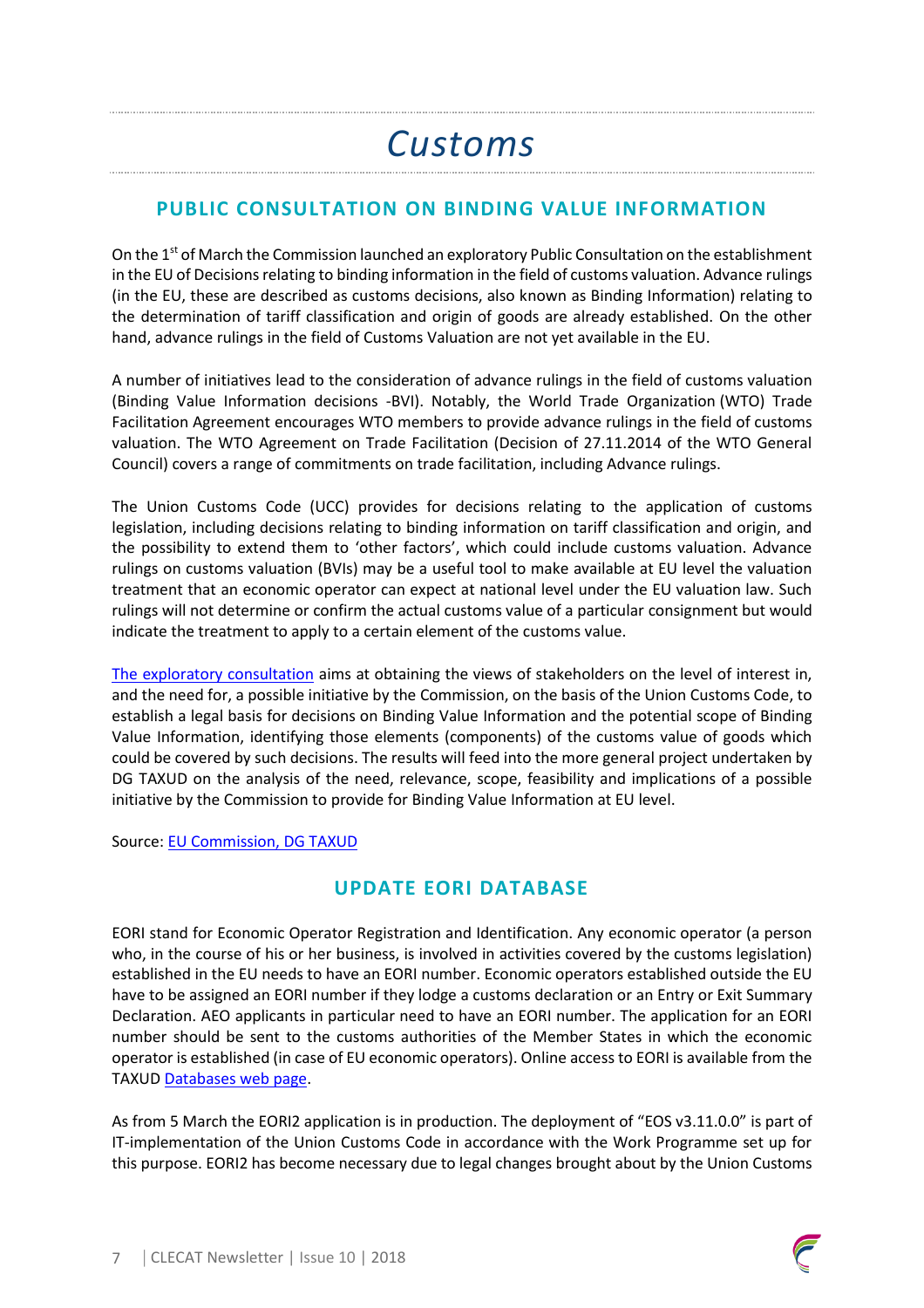# *Customs*

### **PUBLIC CONSULTATION ON BINDING VALUE INFORMATION**

On the 1<sup>st</sup> of March the Commission launched an exploratory Public Consultation on the establishment in the EU of Decisions relating to binding information in the field of customs valuation. Advance rulings (in the EU, these are described as customs decisions, also known as Binding Information) relating to the determination of tariff classification and origin of goods are already established. On the other hand, advance rulings in the field of Customs Valuation are not yet available in the EU.

A number of initiatives lead to the consideration of advance rulings in the field of customs valuation (Binding Value Information decisions -BVI). Notably, the World Trade Organization (WTO) Trade Facilitation Agreement encourages WTO members to provide advance rulings in the field of customs valuation. The WTO Agreement on Trade Facilitation (Decision of 27.11.2014 of the WTO General Council) covers a range of commitments on trade facilitation, including Advance rulings.

The Union Customs Code (UCC) provides for decisions relating to the application of customs legislation, including decisions relating to binding information on tariff classification and origin, and the possibility to extend them to 'other factors', which could include customs valuation. Advance rulings on customs valuation (BVIs) may be a useful tool to make available at EU level the valuation treatment that an economic operator can expect at national level under the EU valuation law. Such rulings will not determine or confirm the actual customs value of a particular consignment but would indicate the treatment to apply to a certain element of the customs value.

The exploratory consultation aims at obtaining the views of stakeholders on the level of interest in, and the need for, a possible initiative by the Commission, on the basis of the Union Customs Code, to establish a legal basis for decisions on Binding Value Information and the potential scope of Binding Value Information, identifying those elements (components) of the customs value of goods which could be covered by such decisions. The results will feed into the more general project undertaken by DG TAXUD on the analysis of the need, relevance, scope, feasibility and implications of a possible initiative by the Commission to provide for Binding Value Information at EU level.

Source: EU Commission, DG TAXUD

### **UPDATE EORI DATABASE**

EORI stand for Economic Operator Registration and Identification. Any economic operator (a person who, in the course of his or her business, is involved in activities covered by the customs legislation) established in the EU needs to have an EORI number. Economic operators established outside the EU have to be assigned an EORI number if they lodge a customs declaration or an Entry or Exit Summary Declaration. AEO applicants in particular need to have an EORI number. The application for an EORI number should be sent to the customs authorities of the Member States in which the economic operator is established (in case of EU economic operators). Online access to EORI is available from the TAXUD Databases web page.

As from 5 March the EORI2 application is in production. The deployment of "EOS v3.11.0.0" is part of IT-implementation of the Union Customs Code in accordance with the Work Programme set up for this purpose. EORI2 has become necessary due to legal changes brought about by the Union Customs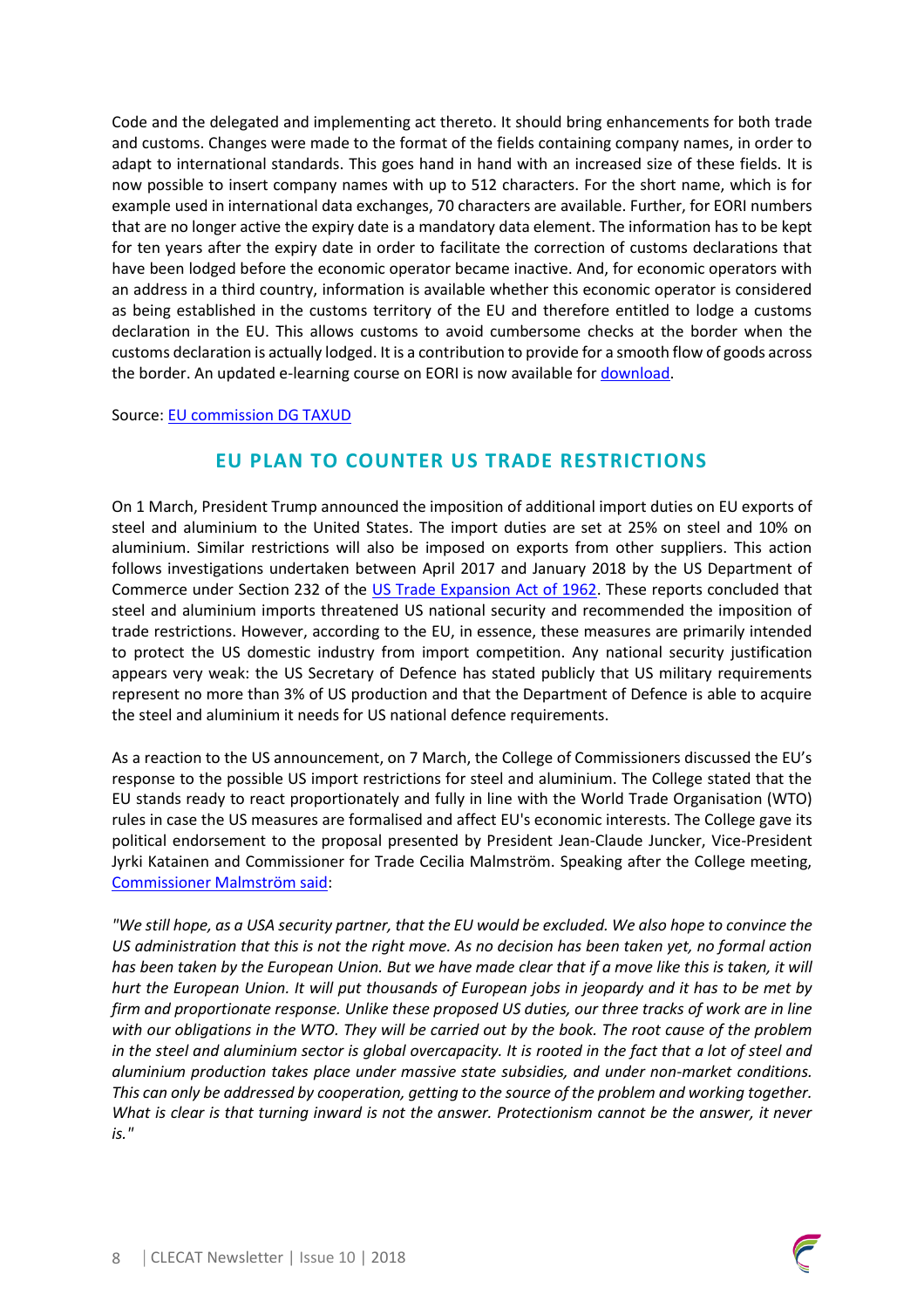Code and the delegated and implementing act thereto. It should bring enhancements for both trade and customs. Changes were made to the format of the fields containing company names, in order to adapt to international standards. This goes hand in hand with an increased size of these fields. It is now possible to insert company names with up to 512 characters. For the short name, which is for example used in international data exchanges, 70 characters are available. Further, for EORI numbers that are no longer active the expiry date is a mandatory data element. The information has to be kept for ten years after the expiry date in order to facilitate the correction of customs declarations that have been lodged before the economic operator became inactive. And, for economic operators with an address in a third country, information is available whether this economic operator is considered as being established in the customs territory of the EU and therefore entitled to lodge a customs declaration in the EU. This allows customs to avoid cumbersome checks at the border when the customs declaration is actually lodged. It is a contribution to provide for a smooth flow of goods across the border. An updated e-learning course on EORI is now available for download.

Source: EU commission DG TAXUD

#### **EU PLAN TO COUNTER US TRADE RESTRICTIONS**

On 1 March, President Trump announced the imposition of additional import duties on EU exports of steel and aluminium to the United States. The import duties are set at 25% on steel and 10% on aluminium. Similar restrictions will also be imposed on exports from other suppliers. This action follows investigations undertaken between April 2017 and January 2018 by the US Department of Commerce under Section 232 of the US Trade Expansion Act of 1962. These reports concluded that steel and aluminium imports threatened US national security and recommended the imposition of trade restrictions. However, according to the EU, in essence, these measures are primarily intended to protect the US domestic industry from import competition. Any national security justification appears very weak: the US Secretary of Defence has stated publicly that US military requirements represent no more than 3% of US production and that the Department of Defence is able to acquire the steel and aluminium it needs for US national defence requirements.

As a reaction to the US announcement, on 7 March, the College of Commissioners discussed the EU's response to the possible US import restrictions for steel and aluminium. The College stated that the EU stands ready to react proportionately and fully in line with the World Trade Organisation (WTO) rules in case the US measures are formalised and affect EU's economic interests. The College gave its political endorsement to the proposal presented by President Jean-Claude Juncker, Vice-President Jyrki Katainen and Commissioner for Trade Cecilia Malmström. Speaking after the College meeting, Commissioner Malmström said:

*"We still hope, as a USA security partner, that the EU would be excluded. We also hope to convince the US administration that this is not the right move. As no decision has been taken yet, no formal action has been taken by the European Union. But we have made clear that if a move like this is taken, it will hurt the European Union. It will put thousands of European jobs in jeopardy and it has to be met by firm and proportionate response. Unlike these proposed US duties, our three tracks of work are in line with our obligations in the WTO. They will be carried out by the book. The root cause of the problem in the steel and aluminium sector is global overcapacity. It is rooted in the fact that a lot of steel and aluminium production takes place under massive state subsidies, and under non-market conditions. This can only be addressed by cooperation, getting to the source of the problem and working together. What is clear is that turning inward is not the answer. Protectionism cannot be the answer, it never is."*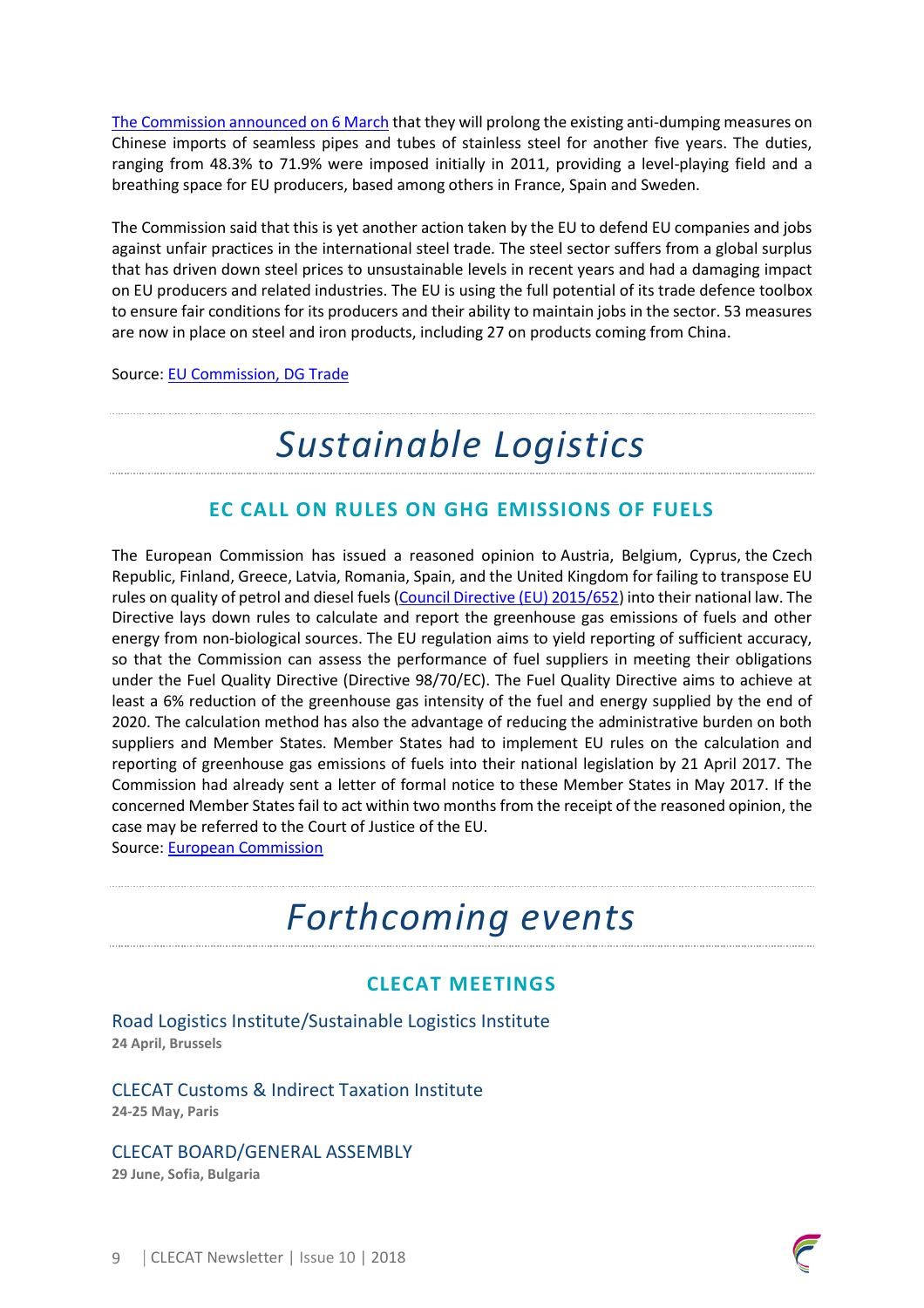The Commission announced on 6 March that they will prolong the existing anti-dumping measures on Chinese imports of seamless pipes and tubes of stainless steel for another five years. The duties, ranging from 48.3% to 71.9% were imposed initially in 2011, providing a level-playing field and a breathing space for EU producers, based among others in France, Spain and Sweden.

The Commission said that this is yet another action taken by the EU to defend EU companies and jobs against unfair practices in the international steel trade. The steel sector suffers from a global surplus that has driven down steel prices to unsustainable levels in recent years and had a damaging impact on EU producers and related industries. The EU is using the full potential of its trade defence toolbox to ensure fair conditions for its producers and their ability to maintain jobs in the sector. 53 measures are now in place on steel and iron products, including 27 on products coming from China.

Source: EU Commission, DG Trade

### *Sustainable Logistics*

#### **EC CALL ON RULES ON GHG EMISSIONS OF FUELS**

The European Commission has issued a reasoned opinion to Austria, Belgium, Cyprus, the Czech Republic, Finland, Greece, Latvia, Romania, Spain, and the United Kingdom for failing to transpose EU rules on quality of petrol and diesel fuels (Council Directive (EU) 2015/652) into their national law. The Directive lays down rules to calculate and report the greenhouse gas emissions of fuels and other energy from non-biological sources. The EU regulation aims to yield reporting of sufficient accuracy, so that the Commission can assess the performance of fuel suppliers in meeting their obligations under the Fuel Quality Directive (Directive 98/70/EC). The Fuel Quality Directive aims to achieve at least a 6% reduction of the greenhouse gas intensity of the fuel and energy supplied by the end of 2020. The calculation method has also the advantage of reducing the administrative burden on both suppliers and Member States. Member States had to implement EU rules on the calculation and reporting of greenhouse gas emissions of fuels into their national legislation by 21 April 2017. The Commission had already sent a letter of formal notice to these Member States in May 2017. If the concerned Member States fail to act within two months from the receipt of the reasoned opinion, the case may be referred to the Court of Justice of the EU.

Source: European Commission

### *Forthcoming events*

#### **CLECAT MEETINGS**

Road Logistics Institute/Sustainable Logistics Institute **24 April, Brussels** 

CLECAT Customs & Indirect Taxation Institute **24-25 May, Paris**

#### CLECAT BOARD/GENERAL ASSEMBLY

**29 June, Sofia, Bulgaria**